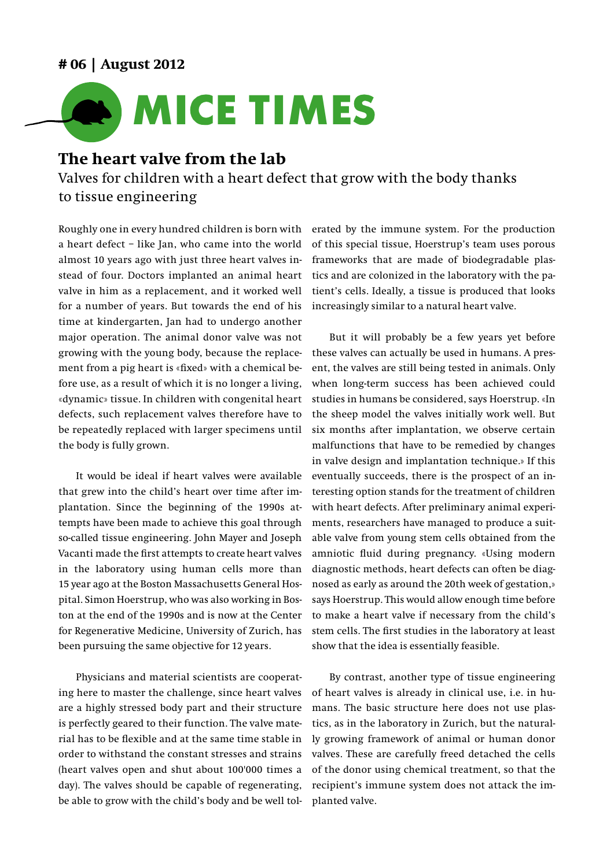## **# 06 | August 2012**



## **The heart valve from the lab**

Valves for children with a heart defect that grow with the body thanks to tissue engineering

Roughly one in every hundred children is born with a heart defect – like Jan, who came into the world almost 10 years ago with just three heart valves instead of four. Doctors implanted an animal heart valve in him as a replacement, and it worked well for a number of years. But towards the end of his time at kindergarten, Jan had to undergo another major operation. The animal donor valve was not growing with the young body, because the replacement from a pig heart is «fixed» with a chemical before use, as a result of which it is no longer a living, «dynamic» tissue. In children with congenital heart defects, such replacement valves therefore have to be repeatedly replaced with larger specimens until the body is fully grown.

It would be ideal if heart valves were available that grew into the child's heart over time after implantation. Since the beginning of the 1990s attempts have been made to achieve this goal through so-called tissue engineering. John Mayer and Joseph Vacanti made the first attempts to create heart valves in the laboratory using human cells more than 15 year ago at the Boston Massachusetts General Hospital. Simon Hoerstrup, who was also working in Boston at the end of the 1990s and is now at the Center for Regenerative Medicine, University of Zurich, has been pursuing the same objective for 12 years.

Physicians and material scientists are cooperating here to master the challenge, since heart valves are a highly stressed body part and their structure is perfectly geared to their function. The valve material has to be flexible and at the same time stable in order to withstand the constant stresses and strains (heart valves open and shut about 100'000 times a day). The valves should be capable of regenerating, be able to grow with the child's body and be well tol-

erated by the immune system. For the production of this special tissue, Hoerstrup's team uses porous frameworks that are made of biodegradable plastics and are colonized in the laboratory with the patient's cells. Ideally, a tissue is produced that looks increasingly similar to a natural heart valve.

But it will probably be a few years yet before these valves can actually be used in humans. A present, the valves are still being tested in animals. Only when long-term success has been achieved could studies in humans be considered, says Hoerstrup. «In the sheep model the valves initially work well. But six months after implantation, we observe certain malfunctions that have to be remedied by changes in valve design and implantation technique.» If this eventually succeeds, there is the prospect of an interesting option stands for the treatment of children with heart defects. After preliminary animal experiments, researchers have managed to produce a suitable valve from young stem cells obtained from the amniotic fluid during pregnancy. «Using modern diagnostic methods, heart defects can often be diagnosed as early as around the 20th week of gestation,» says Hoerstrup. This would allow enough time before to make a heart valve if necessary from the child's stem cells. The first studies in the laboratory at least show that the idea is essentially feasible.

By contrast, another type of tissue engineering of heart valves is already in clinical use, i.e. in humans. The basic structure here does not use plastics, as in the laboratory in Zurich, but the naturally growing framework of animal or human donor valves. These are carefully freed detached the cells of the donor using chemical treatment, so that the recipient's immune system does not attack the implanted valve.